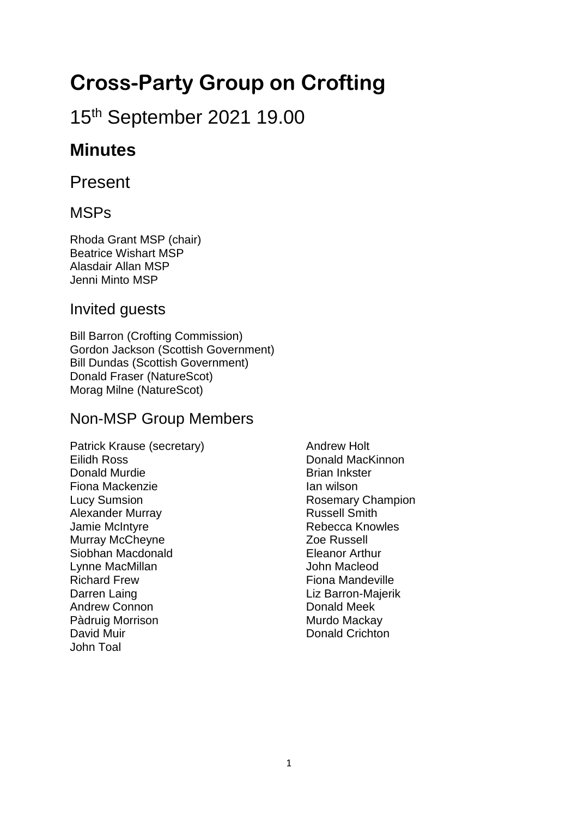# **Cross-Party Group on Crofting**

# 15th September 2021 19.00

# **Minutes**

Present

### MSPs

Rhoda Grant MSP (chair) Beatrice Wishart MSP Alasdair Allan MSP Jenni Minto MSP

### Invited guests

Bill Barron (Crofting Commission) Gordon Jackson (Scottish Government) Bill Dundas (Scottish Government) Donald Fraser (NatureScot) Morag Milne (NatureScot)

### Non-MSP Group Members

Patrick Krause (secretary) Eilidh Ross Donald Murdie Fiona Mackenzie Lucy Sumsion Alexander Murray Jamie McIntyre Murray McCheyne Siobhan Macdonald Lynne MacMillan Richard Frew Darren Laing Andrew Connon Pàdruig Morrison David Muir John Toal

Andrew Holt Donald MacKinnon Brian Inkster Ian wilson Rosemary Champion Russell Smith Rebecca Knowles Zoe Russell Eleanor Arthur John Macleod Fiona Mandeville Liz Barron-Majerik Donald Meek Murdo Mackay Donald Crichton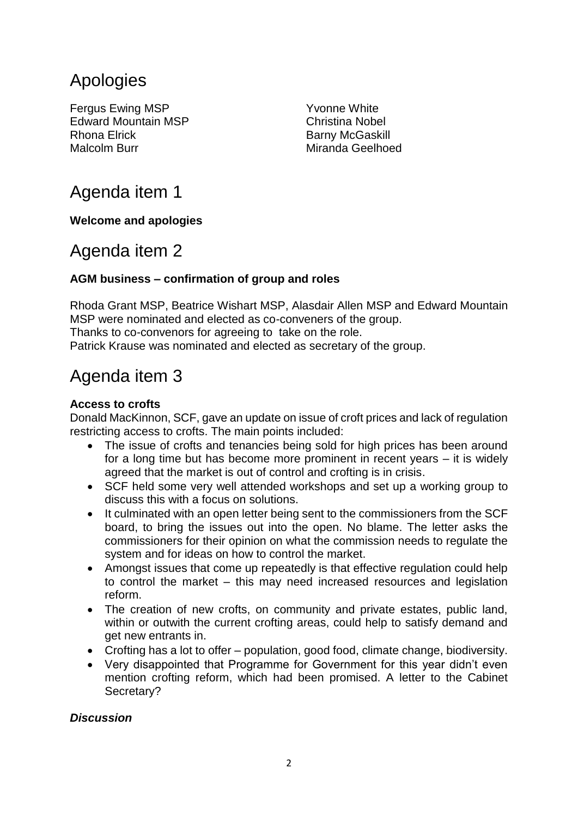# Apologies

Fergus Ewing MSP Edward Mountain MSP Rhona Elrick Malcolm Burr

Yvonne White Christina Nobel Barny McGaskill Miranda Geelhoed

# Agenda item 1

#### **Welcome and apologies**

### Agenda item 2

#### **AGM business – confirmation of group and roles**

Rhoda Grant MSP, Beatrice Wishart MSP, Alasdair Allen MSP and Edward Mountain MSP were nominated and elected as co-conveners of the group. Thanks to co-convenors for agreeing to take on the role.

Patrick Krause was nominated and elected as secretary of the group.

## Agenda item 3

#### **Access to crofts**

Donald MacKinnon, SCF, gave an update on issue of croft prices and lack of regulation restricting access to crofts. The main points included:

- The issue of crofts and tenancies being sold for high prices has been around for a long time but has become more prominent in recent years – it is widely agreed that the market is out of control and crofting is in crisis.
- SCF held some very well attended workshops and set up a working group to discuss this with a focus on solutions.
- It culminated with an open letter being sent to the commissioners from the SCF board, to bring the issues out into the open. No blame. The letter asks the commissioners for their opinion on what the commission needs to regulate the system and for ideas on how to control the market.
- Amongst issues that come up repeatedly is that effective regulation could help to control the market – this may need increased resources and legislation reform.
- The creation of new crofts, on community and private estates, public land, within or outwith the current crofting areas, could help to satisfy demand and get new entrants in.
- Crofting has a lot to offer population, good food, climate change, biodiversity.
- Very disappointed that Programme for Government for this year didn't even mention crofting reform, which had been promised. A letter to the Cabinet Secretary?

#### *Discussion*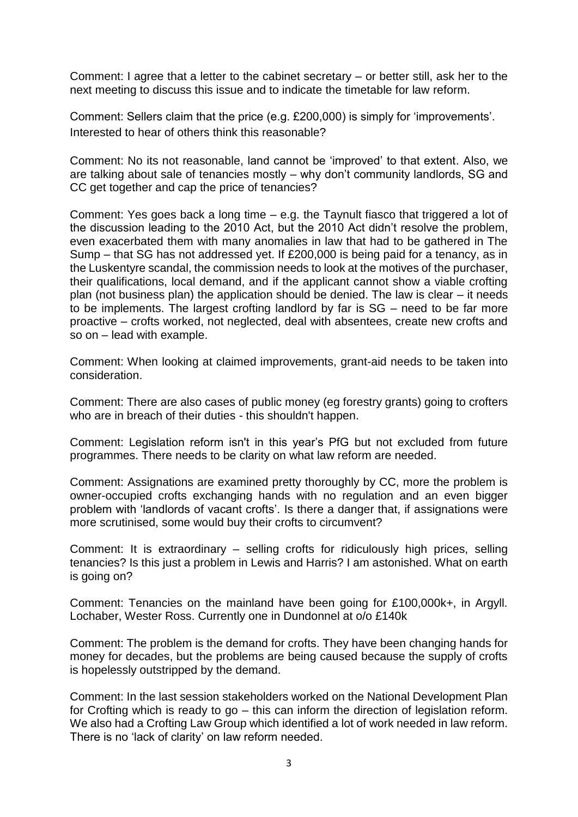Comment: I agree that a letter to the cabinet secretary – or better still, ask her to the next meeting to discuss this issue and to indicate the timetable for law reform.

Comment: Sellers claim that the price (e.g. £200,000) is simply for 'improvements'. Interested to hear of others think this reasonable?

Comment: No its not reasonable, land cannot be 'improved' to that extent. Also, we are talking about sale of tenancies mostly – why don't community landlords, SG and CC get together and cap the price of tenancies?

Comment: Yes goes back a long time – e.g. the Taynult fiasco that triggered a lot of the discussion leading to the 2010 Act, but the 2010 Act didn't resolve the problem, even exacerbated them with many anomalies in law that had to be gathered in The Sump – that SG has not addressed yet. If £200,000 is being paid for a tenancy, as in the Luskentyre scandal, the commission needs to look at the motives of the purchaser, their qualifications, local demand, and if the applicant cannot show a viable crofting plan (not business plan) the application should be denied. The law is clear – it needs to be implements. The largest crofting landlord by far is SG – need to be far more proactive – crofts worked, not neglected, deal with absentees, create new crofts and so on – lead with example.

Comment: When looking at claimed improvements, grant-aid needs to be taken into consideration.

Comment: There are also cases of public money (eg forestry grants) going to crofters who are in breach of their duties - this shouldn't happen.

Comment: Legislation reform isn't in this year's PfG but not excluded from future programmes. There needs to be clarity on what law reform are needed.

Comment: Assignations are examined pretty thoroughly by CC, more the problem is owner-occupied crofts exchanging hands with no regulation and an even bigger problem with 'landlords of vacant crofts'. Is there a danger that, if assignations were more scrutinised, some would buy their crofts to circumvent?

Comment: It is extraordinary – selling crofts for ridiculously high prices, selling tenancies? Is this just a problem in Lewis and Harris? I am astonished. What on earth is going on?

Comment: Tenancies on the mainland have been going for £100,000k+, in Argyll. Lochaber, Wester Ross. Currently one in Dundonnel at o/o £140k

Comment: The problem is the demand for crofts. They have been changing hands for money for decades, but the problems are being caused because the supply of crofts is hopelessly outstripped by the demand.

Comment: In the last session stakeholders worked on the National Development Plan for Crofting which is ready to go – this can inform the direction of legislation reform. We also had a Crofting Law Group which identified a lot of work needed in law reform. There is no 'lack of clarity' on law reform needed.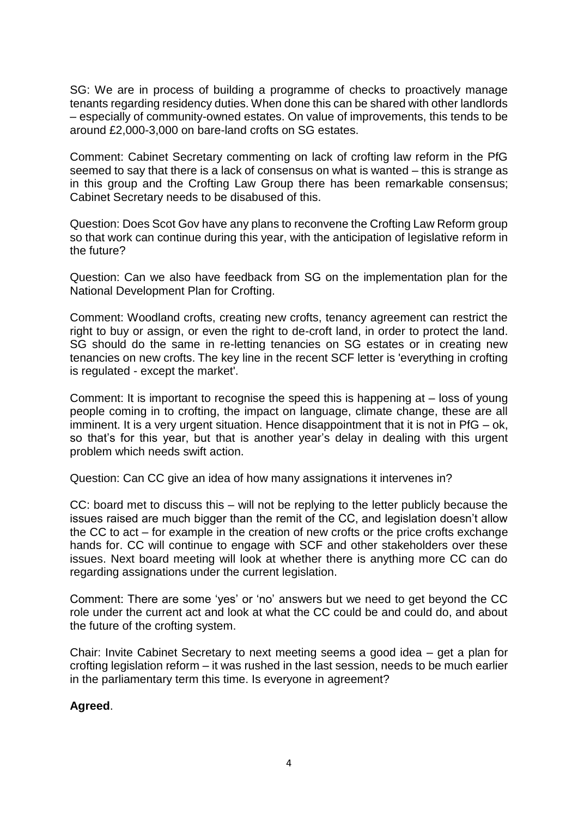SG: We are in process of building a programme of checks to proactively manage tenants regarding residency duties. When done this can be shared with other landlords – especially of community-owned estates. On value of improvements, this tends to be around £2,000-3,000 on bare-land crofts on SG estates.

Comment: Cabinet Secretary commenting on lack of crofting law reform in the PfG seemed to say that there is a lack of consensus on what is wanted – this is strange as in this group and the Crofting Law Group there has been remarkable consensus; Cabinet Secretary needs to be disabused of this.

Question: Does Scot Gov have any plans to reconvene the Crofting Law Reform group so that work can continue during this year, with the anticipation of legislative reform in the future?

Question: Can we also have feedback from SG on the implementation plan for the National Development Plan for Crofting.

Comment: Woodland crofts, creating new crofts, tenancy agreement can restrict the right to buy or assign, or even the right to de-croft land, in order to protect the land. SG should do the same in re-letting tenancies on SG estates or in creating new tenancies on new crofts. The key line in the recent SCF letter is 'everything in crofting is regulated - except the market'.

Comment: It is important to recognise the speed this is happening at – loss of young people coming in to crofting, the impact on language, climate change, these are all imminent. It is a very urgent situation. Hence disappointment that it is not in PfG – ok, so that's for this year, but that is another year's delay in dealing with this urgent problem which needs swift action.

Question: Can CC give an idea of how many assignations it intervenes in?

CC: board met to discuss this – will not be replying to the letter publicly because the issues raised are much bigger than the remit of the CC, and legislation doesn't allow the CC to act – for example in the creation of new crofts or the price crofts exchange hands for. CC will continue to engage with SCF and other stakeholders over these issues. Next board meeting will look at whether there is anything more CC can do regarding assignations under the current legislation.

Comment: There are some 'yes' or 'no' answers but we need to get beyond the CC role under the current act and look at what the CC could be and could do, and about the future of the crofting system.

Chair: Invite Cabinet Secretary to next meeting seems a good idea – get a plan for crofting legislation reform – it was rushed in the last session, needs to be much earlier in the parliamentary term this time. Is everyone in agreement?

#### **Agreed**.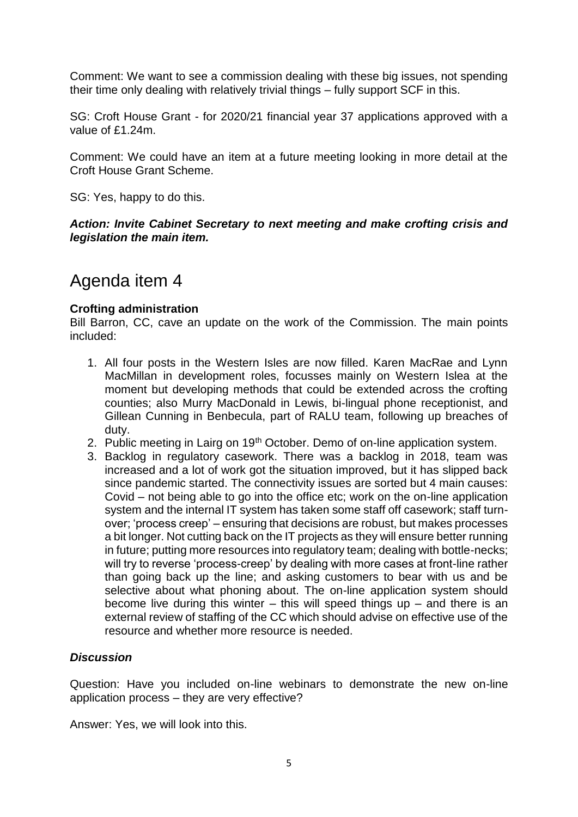Comment: We want to see a commission dealing with these big issues, not spending their time only dealing with relatively trivial things – fully support SCF in this.

SG: Croft House Grant - for 2020/21 financial year 37 applications approved with a value of £1.24m.

Comment: We could have an item at a future meeting looking in more detail at the Croft House Grant Scheme.

SG: Yes, happy to do this.

*Action: Invite Cabinet Secretary to next meeting and make crofting crisis and legislation the main item.*

### Agenda item 4

#### **Crofting administration**

Bill Barron, CC, cave an update on the work of the Commission. The main points included:

- 1. All four posts in the Western Isles are now filled. Karen MacRae and Lynn MacMillan in development roles, focusses mainly on Western Islea at the moment but developing methods that could be extended across the crofting counties; also Murry MacDonald in Lewis, bi-lingual phone receptionist, and Gillean Cunning in Benbecula, part of RALU team, following up breaches of duty.
- 2. Public meeting in Lairg on 19<sup>th</sup> October. Demo of on-line application system.
- 3. Backlog in regulatory casework. There was a backlog in 2018, team was increased and a lot of work got the situation improved, but it has slipped back since pandemic started. The connectivity issues are sorted but 4 main causes: Covid – not being able to go into the office etc; work on the on-line application system and the internal IT system has taken some staff off casework; staff turnover; 'process creep' – ensuring that decisions are robust, but makes processes a bit longer. Not cutting back on the IT projects as they will ensure better running in future; putting more resources into regulatory team; dealing with bottle-necks; will try to reverse 'process-creep' by dealing with more cases at front-line rather than going back up the line; and asking customers to bear with us and be selective about what phoning about. The on-line application system should become live during this winter – this will speed things up – and there is an external review of staffing of the CC which should advise on effective use of the resource and whether more resource is needed.

#### *Discussion*

Question: Have you included on-line webinars to demonstrate the new on-line application process – they are very effective?

Answer: Yes, we will look into this.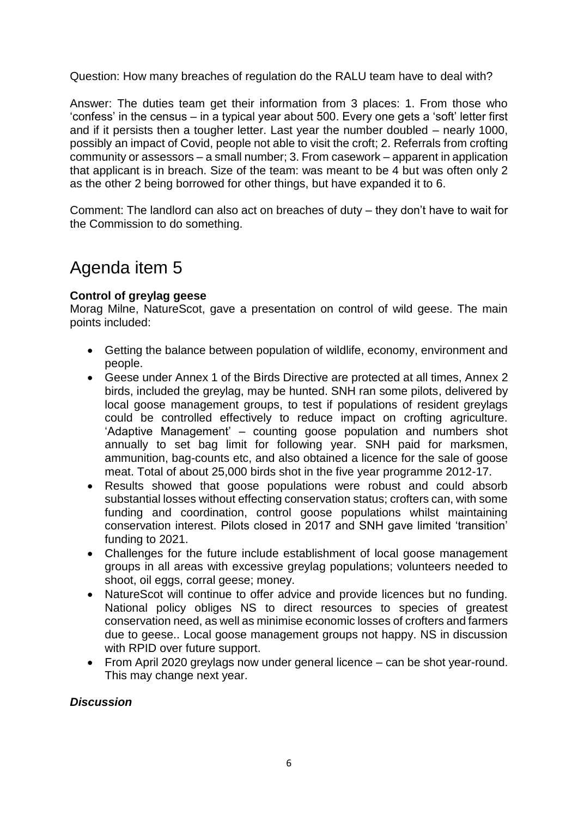Question: How many breaches of regulation do the RALU team have to deal with?

Answer: The duties team get their information from 3 places: 1. From those who 'confess' in the census – in a typical year about 500. Every one gets a 'soft' letter first and if it persists then a tougher letter. Last year the number doubled – nearly 1000, possibly an impact of Covid, people not able to visit the croft; 2. Referrals from crofting community or assessors – a small number; 3. From casework – apparent in application that applicant is in breach. Size of the team: was meant to be 4 but was often only 2 as the other 2 being borrowed for other things, but have expanded it to 6.

Comment: The landlord can also act on breaches of duty – they don't have to wait for the Commission to do something.

## Agenda item 5

#### **Control of greylag geese**

Morag Milne, NatureScot, gave a presentation on control of wild geese. The main points included:

- Getting the balance between population of wildlife, economy, environment and people.
- Geese under Annex 1 of the Birds Directive are protected at all times, Annex 2 birds, included the greylag, may be hunted. SNH ran some pilots, delivered by local goose management groups, to test if populations of resident greylags could be controlled effectively to reduce impact on crofting agriculture. 'Adaptive Management' – counting goose population and numbers shot annually to set bag limit for following year. SNH paid for marksmen, ammunition, bag-counts etc, and also obtained a licence for the sale of goose meat. Total of about 25,000 birds shot in the five year programme 2012-17.
- Results showed that goose populations were robust and could absorb substantial losses without effecting conservation status; crofters can, with some funding and coordination, control goose populations whilst maintaining conservation interest. Pilots closed in 2017 and SNH gave limited 'transition' funding to 2021.
- Challenges for the future include establishment of local goose management groups in all areas with excessive greylag populations; volunteers needed to shoot, oil eggs, corral geese; money.
- NatureScot will continue to offer advice and provide licences but no funding. National policy obliges NS to direct resources to species of greatest conservation need, as well as minimise economic losses of crofters and farmers due to geese.. Local goose management groups not happy. NS in discussion with RPID over future support.
- From April 2020 greylags now under general licence can be shot year-round. This may change next year.

#### *Discussion*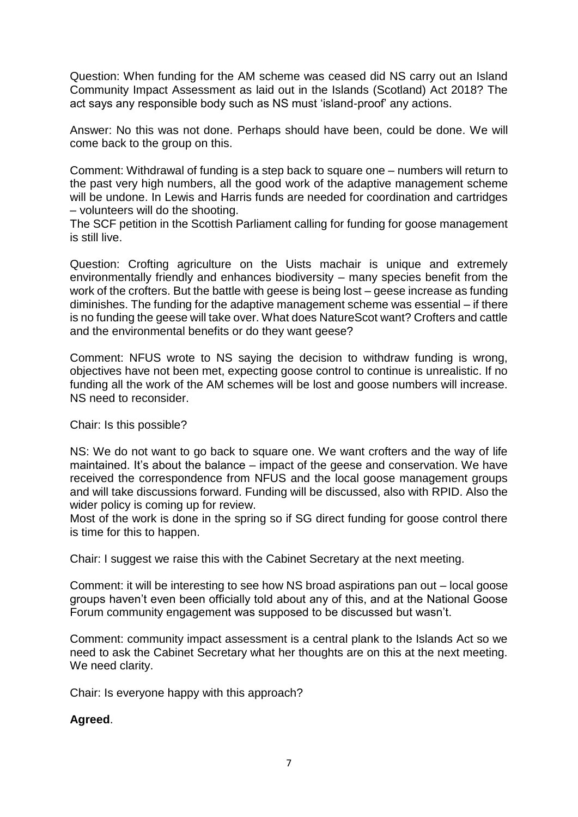Question: When funding for the AM scheme was ceased did NS carry out an Island Community Impact Assessment as laid out in the Islands (Scotland) Act 2018? The act says any responsible body such as NS must 'island-proof' any actions.

Answer: No this was not done. Perhaps should have been, could be done. We will come back to the group on this.

Comment: Withdrawal of funding is a step back to square one – numbers will return to the past very high numbers, all the good work of the adaptive management scheme will be undone. In Lewis and Harris funds are needed for coordination and cartridges – volunteers will do the shooting.

The SCF petition in the Scottish Parliament calling for funding for goose management is still live.

Question: Crofting agriculture on the Uists machair is unique and extremely environmentally friendly and enhances biodiversity – many species benefit from the work of the crofters. But the battle with geese is being lost – geese increase as funding diminishes. The funding for the adaptive management scheme was essential – if there is no funding the geese will take over. What does NatureScot want? Crofters and cattle and the environmental benefits or do they want geese?

Comment: NFUS wrote to NS saying the decision to withdraw funding is wrong, objectives have not been met, expecting goose control to continue is unrealistic. If no funding all the work of the AM schemes will be lost and goose numbers will increase. NS need to reconsider.

Chair: Is this possible?

NS: We do not want to go back to square one. We want crofters and the way of life maintained. It's about the balance – impact of the geese and conservation. We have received the correspondence from NFUS and the local goose management groups and will take discussions forward. Funding will be discussed, also with RPID. Also the wider policy is coming up for review.

Most of the work is done in the spring so if SG direct funding for goose control there is time for this to happen.

Chair: I suggest we raise this with the Cabinet Secretary at the next meeting.

Comment: it will be interesting to see how NS broad aspirations pan out – local goose groups haven't even been officially told about any of this, and at the National Goose Forum community engagement was supposed to be discussed but wasn't.

Comment: community impact assessment is a central plank to the Islands Act so we need to ask the Cabinet Secretary what her thoughts are on this at the next meeting. We need clarity.

Chair: Is everyone happy with this approach?

#### **Agreed**.